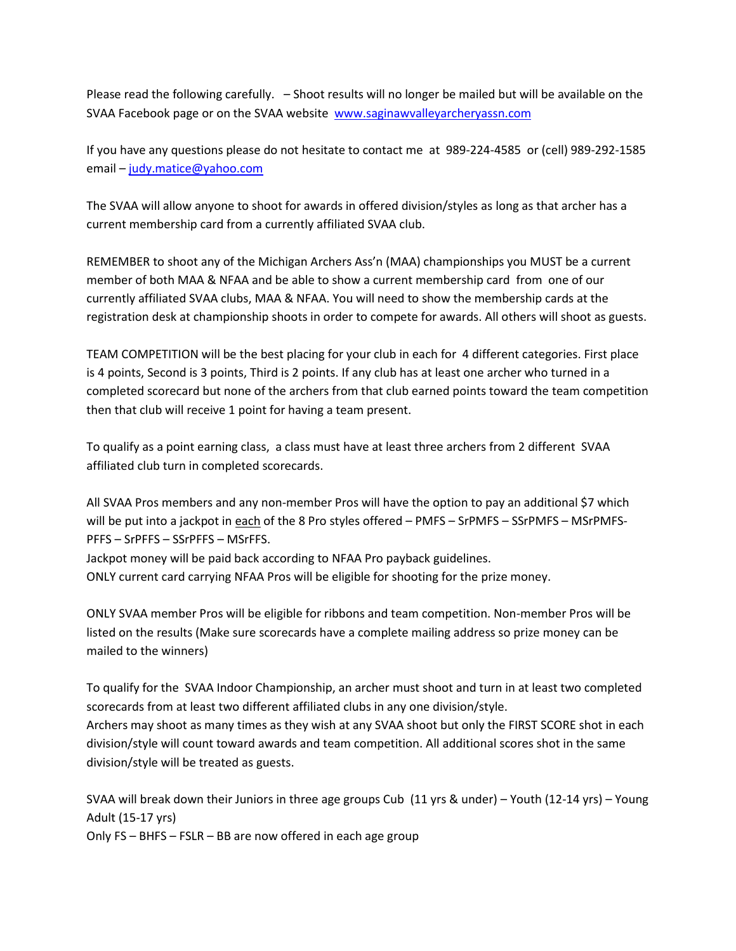Please read the following carefully. – Shoot results will no longer be mailed but will be available on the SVAA Facebook page or on the SVAA website [www.saginawvalleyarcheryassn.com](http://www.saginawvalleyarcheryassn.com/)

If you have any questions please do not hesitate to contact me at 989-224-4585 or (cell) 989-292-1585 email – [judy.matice@yahoo.com](mailto:judy.matice@yahoo.com)

The SVAA will allow anyone to shoot for awards in offered division/styles as long as that archer has a current membership card from a currently affiliated SVAA club.

REMEMBER to shoot any of the Michigan Archers Ass'n (MAA) championships you MUST be a current member of both MAA & NFAA and be able to show a current membership card from one of our currently affiliated SVAA clubs, MAA & NFAA. You will need to show the membership cards at the registration desk at championship shoots in order to compete for awards. All others will shoot as guests.

TEAM COMPETITION will be the best placing for your club in each for 4 different categories. First place is 4 points, Second is 3 points, Third is 2 points. If any club has at least one archer who turned in a completed scorecard but none of the archers from that club earned points toward the team competition then that club will receive 1 point for having a team present.

To qualify as a point earning class, a class must have at least three archers from 2 different SVAA affiliated club turn in completed scorecards.

All SVAA Pros members and any non-member Pros will have the option to pay an additional \$7 which will be put into a jackpot in each of the 8 Pro styles offered – PMFS – SrPMFS – SSrPMFS – MSrPMFS-PFFS – SrPFFS – SSrPFFS – MSrFFS.

Jackpot money will be paid back according to NFAA Pro payback guidelines. ONLY current card carrying NFAA Pros will be eligible for shooting for the prize money.

ONLY SVAA member Pros will be eligible for ribbons and team competition. Non-member Pros will be listed on the results (Make sure scorecards have a complete mailing address so prize money can be mailed to the winners)

To qualify for the SVAA Indoor Championship, an archer must shoot and turn in at least two completed scorecards from at least two different affiliated clubs in any one division/style. Archers may shoot as many times as they wish at any SVAA shoot but only the FIRST SCORE shot in each division/style will count toward awards and team competition. All additional scores shot in the same division/style will be treated as guests.

SVAA will break down their Juniors in three age groups Cub (11 yrs & under) – Youth (12-14 yrs) – Young Adult (15-17 yrs)

Only FS – BHFS – FSLR – BB are now offered in each age group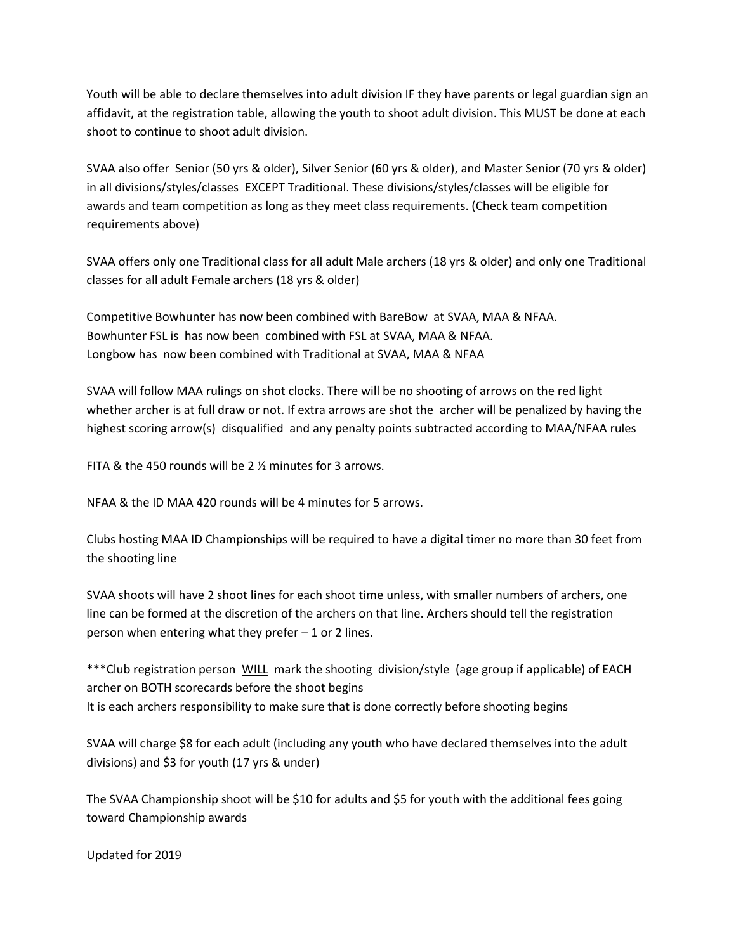Youth will be able to declare themselves into adult division IF they have parents or legal guardian sign an affidavit, at the registration table, allowing the youth to shoot adult division. This MUST be done at each shoot to continue to shoot adult division.

SVAA also offer Senior (50 yrs & older), Silver Senior (60 yrs & older), and Master Senior (70 yrs & older) in all divisions/styles/classes EXCEPT Traditional. These divisions/styles/classes will be eligible for awards and team competition as long as they meet class requirements. (Check team competition requirements above)

SVAA offers only one Traditional class for all adult Male archers (18 yrs & older) and only one Traditional classes for all adult Female archers (18 yrs & older)

Competitive Bowhunter has now been combined with BareBow at SVAA, MAA & NFAA. Bowhunter FSL is has now been combined with FSL at SVAA, MAA & NFAA. Longbow has now been combined with Traditional at SVAA, MAA & NFAA

SVAA will follow MAA rulings on shot clocks. There will be no shooting of arrows on the red light whether archer is at full draw or not. If extra arrows are shot the archer will be penalized by having the highest scoring arrow(s) disqualified and any penalty points subtracted according to MAA/NFAA rules

FITA & the 450 rounds will be 2 ½ minutes for 3 arrows.

NFAA & the ID MAA 420 rounds will be 4 minutes for 5 arrows.

Clubs hosting MAA ID Championships will be required to have a digital timer no more than 30 feet from the shooting line

SVAA shoots will have 2 shoot lines for each shoot time unless, with smaller numbers of archers, one line can be formed at the discretion of the archers on that line. Archers should tell the registration person when entering what they prefer – 1 or 2 lines.

\*\*\*Club registration person WILL mark the shooting division/style (age group if applicable) of EACH archer on BOTH scorecards before the shoot begins It is each archers responsibility to make sure that is done correctly before shooting begins

SVAA will charge \$8 for each adult (including any youth who have declared themselves into the adult divisions) and \$3 for youth (17 yrs & under)

The SVAA Championship shoot will be \$10 for adults and \$5 for youth with the additional fees going toward Championship awards

Updated for 2019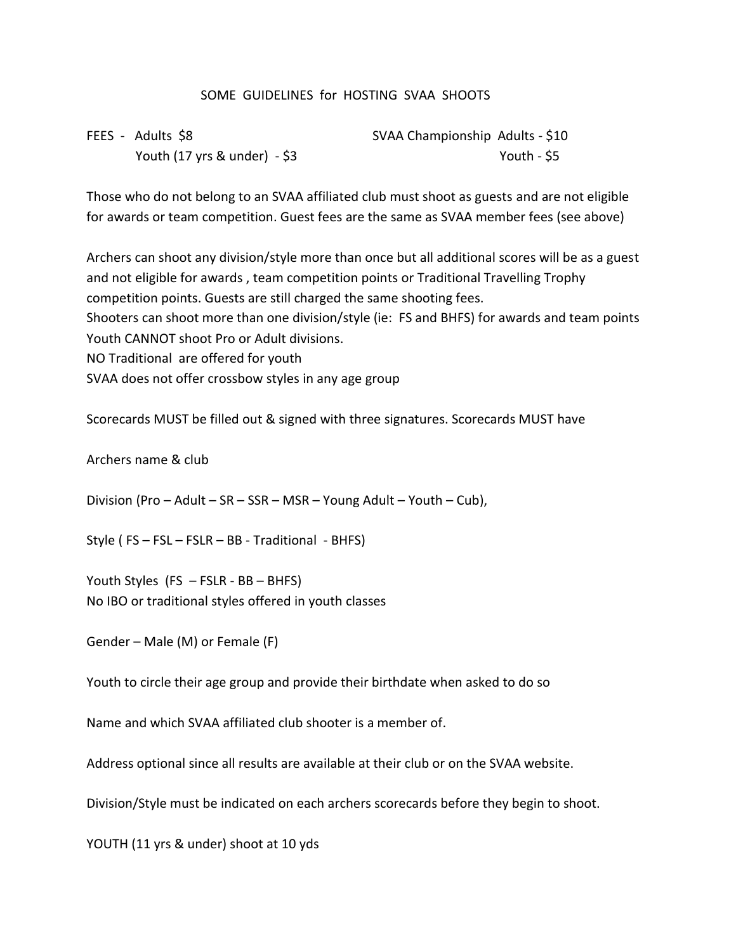## SOME GUIDELINES for HOSTING SVAA SHOOTS

| FEES - Adults \$8               | SVAA Championship Adults - \$10 |             |
|---------------------------------|---------------------------------|-------------|
| Youth (17 yrs $\&$ under) - \$3 |                                 | Youth - \$5 |

Those who do not belong to an SVAA affiliated club must shoot as guests and are not eligible for awards or team competition. Guest fees are the same as SVAA member fees (see above)

Archers can shoot any division/style more than once but all additional scores will be as a guest and not eligible for awards , team competition points or Traditional Travelling Trophy competition points. Guests are still charged the same shooting fees. Shooters can shoot more than one division/style (ie: FS and BHFS) for awards and team points Youth CANNOT shoot Pro or Adult divisions. NO Traditional are offered for youth SVAA does not offer crossbow styles in any age group

Scorecards MUST be filled out & signed with three signatures. Scorecards MUST have

Archers name & club

Division (Pro – Adult – SR – SSR – MSR – Young Adult – Youth – Cub),

Style ( FS – FSL – FSLR – BB - Traditional - BHFS)

Youth Styles (FS – FSLR - BB – BHFS) No IBO or traditional styles offered in youth classes

Gender – Male (M) or Female (F)

Youth to circle their age group and provide their birthdate when asked to do so

Name and which SVAA affiliated club shooter is a member of.

Address optional since all results are available at their club or on the SVAA website.

Division/Style must be indicated on each archers scorecards before they begin to shoot.

YOUTH (11 yrs & under) shoot at 10 yds